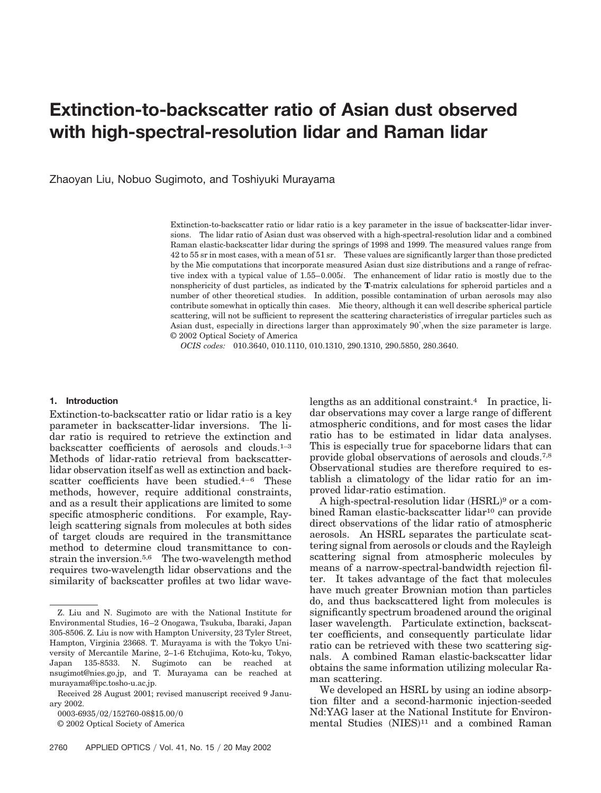# **Extinction-to-backscatter ratio of Asian dust observed with high-spectral-resolution lidar and Raman lidar**

Zhaoyan Liu, Nobuo Sugimoto, and Toshiyuki Murayama

Extinction-to-backscatter ratio or lidar ratio is a key parameter in the issue of backscatter-lidar inversions. The lidar ratio of Asian dust was observed with a high-spectral-resolution lidar and a combined Raman elastic-backscatter lidar during the springs of 1998 and 1999. The measured values range from 42 to 55 sr in most cases, with a mean of 51 sr. These values are significantly larger than those predicted by the Mie computations that incorporate measured Asian dust size distributions and a range of refractive index with a typical value of 1.55–0.005*i*. The enhancement of lidar ratio is mostly due to the nonsphericity of dust particles, as indicated by the **T**-matrix calculations for spheroid particles and a number of other theoretical studies. In addition, possible contamination of urban aerosols may also contribute somewhat in optically thin cases. Mie theory, although it can well describe spherical particle scattering, will not be sufficient to represent the scattering characteristics of irregular particles such as Asian dust, especially in directions larger than approximately 90°, when the size parameter is large. © 2002 Optical Society of America

*OCIS codes:* 010.3640, 010.1110, 010.1310, 290.1310, 290.5850, 280.3640.

#### **1. Introduction**

Extinction-to-backscatter ratio or lidar ratio is a key parameter in backscatter-lidar inversions. The lidar ratio is required to retrieve the extinction and backscatter coefficients of aerosols and clouds.1–3 Methods of lidar-ratio retrieval from backscatterlidar observation itself as well as extinction and backscatter coefficients have been studied.4–6 These methods, however, require additional constraints, and as a result their applications are limited to some specific atmospheric conditions. For example, Rayleigh scattering signals from molecules at both sides of target clouds are required in the transmittance method to determine cloud transmittance to constrain the inversion.5,6 The two-wavelength method requires two-wavelength lidar observations and the similarity of backscatter profiles at two lidar wave-

0003-6935/02/152760-08\$15.00/0

© 2002 Optical Society of America

lengths as an additional constraint.4 In practice, lidar observations may cover a large range of different atmospheric conditions, and for most cases the lidar ratio has to be estimated in lidar data analyses. This is especially true for spaceborne lidars that can provide global observations of aerosols and clouds.7,8 Observational studies are therefore required to establish a climatology of the lidar ratio for an improved lidar-ratio estimation.

A high-spectral-resolution lidar (HSRL)<sup>9</sup> or a combined Raman elastic-backscatter lidar<sup>10</sup> can provide direct observations of the lidar ratio of atmospheric aerosols. An HSRL separates the particulate scattering signal from aerosols or clouds and the Rayleigh scattering signal from atmospheric molecules by means of a narrow-spectral-bandwidth rejection filter. It takes advantage of the fact that molecules have much greater Brownian motion than particles do, and thus backscattered light from molecules is significantly spectrum broadened around the original laser wavelength. Particulate extinction, backscatter coefficients, and consequently particulate lidar ratio can be retrieved with these two scattering signals. A combined Raman elastic-backscatter lidar obtains the same information utilizing molecular Raman scattering.

We developed an HSRL by using an iodine absorption filter and a second-harmonic injection-seeded Nd:YAG laser at the National Institute for Environmental Studies (NIES)<sup>11</sup> and a combined Raman

Z. Liu and N. Sugimoto are with the National Institute for Environmental Studies, 16–2 Onogawa, Tsukuba, Ibaraki, Japan 305-8506. Z. Liu is now with Hampton University, 23 Tyler Street, Hampton, Virginia 23668. T. Murayama is with the Tokyo University of Mercantile Marine, 2–1-6 Etchujima, Koto-ku, Tokyo, Japan 135-8533. N. Sugimoto can be reached at nsugimot@nies.go.jp, and T. Murayama can be reached at murayama@ipc.tosho-u.ac.jp.

Received 28 August 2001; revised manuscript received 9 January 2002.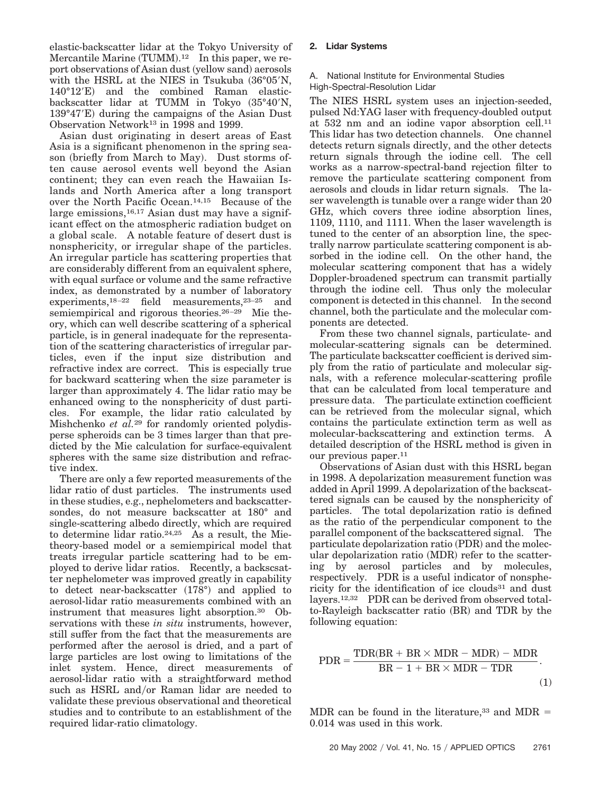elastic-backscatter lidar at the Tokyo University of Mercantile Marine (TUMM).<sup>12</sup> In this paper, we report observations of Asian dust (yellow sand) aerosols with the HSRL at the NIES in Tsukuba  $(36°05'N,$ 140°12'E) and the combined Raman elasticbackscatter lidar at TUMM in Tokyo  $(35°40'N,$ 139°47′E) during the campaigns of the Asian Dust Observation Network13 in 1998 and 1999.

Asian dust originating in desert areas of East Asia is a significant phenomenon in the spring season (briefly from March to May). Dust storms often cause aerosol events well beyond the Asian continent; they can even reach the Hawaiian Islands and North America after a long transport over the North Pacific Ocean.14,15 Because of the large emissions,  $16,17$  Asian dust may have a significant effect on the atmospheric radiation budget on a global scale. A notable feature of desert dust is nonsphericity, or irregular shape of the particles. An irregular particle has scattering properties that are considerably different from an equivalent sphere, with equal surface or volume and the same refractive index, as demonstrated by a number of laboratory experiments,<sup>18–22</sup> field measurements,<sup>23–25</sup> and semiempirical and rigorous theories.26–29 Mie theory, which can well describe scattering of a spherical particle, is in general inadequate for the representation of the scattering characteristics of irregular particles, even if the input size distribution and refractive index are correct. This is especially true for backward scattering when the size parameter is larger than approximately 4. The lidar ratio may be enhanced owing to the nonsphericity of dust particles. For example, the lidar ratio calculated by Mishchenko *et al.*<sup>29</sup> for randomly oriented polydisperse spheroids can be 3 times larger than that predicted by the Mie calculation for surface-equivalent spheres with the same size distribution and refractive index.

There are only a few reported measurements of the lidar ratio of dust particles. The instruments used in these studies, e.g., nephelometers and backscattersondes, do not measure backscatter at 180° and single-scattering albedo directly, which are required to determine lidar ratio.24,25 As a result, the Mietheory-based model or a semiempirical model that treats irregular particle scattering had to be employed to derive lidar ratios. Recently, a backscsatter nephelometer was improved greatly in capability to detect near-backscatter (178°) and applied to aerosol-lidar ratio measurements combined with an instrument that measures light absorption.30 Observations with these *in situ* instruments, however, still suffer from the fact that the measurements are performed after the aerosol is dried, and a part of large particles are lost owing to limitations of the inlet system. Hence, direct measurements of aerosol-lidar ratio with a straightforward method such as HSRL and/or Raman lidar are needed to validate these previous observational and theoretical studies and to contribute to an establishment of the required lidar-ratio climatology.

## **2. Lidar Systems**

#### A. National Institute for Environmental Studies High-Spectral-Resolution Lidar

The NIES HSRL system uses an injection-seeded, pulsed Nd:YAG laser with frequency-doubled output at 532 nm and an iodine vapor absorption cell.11 This lidar has two detection channels. One channel detects return signals directly, and the other detects return signals through the iodine cell. The cell works as a narrow-spectral-band rejection filter to remove the particulate scattering component from aerosols and clouds in lidar return signals. The laser wavelength is tunable over a range wider than 20 GHz, which covers three iodine absorption lines, 1109, 1110, and 1111. When the laser wavelength is tuned to the center of an absorption line, the spectrally narrow particulate scattering component is absorbed in the iodine cell. On the other hand, the molecular scattering component that has a widely Doppler-broadened spectrum can transmit partially through the iodine cell. Thus only the molecular component is detected in this channel. In the second channel, both the particulate and the molecular components are detected.

From these two channel signals, particulate- and molecular-scattering signals can be determined. The particulate backscatter coefficient is derived simply from the ratio of particulate and molecular signals, with a reference molecular-scattering profile that can be calculated from local temperature and pressure data. The particulate extinction coefficient can be retrieved from the molecular signal, which contains the particulate extinction term as well as molecular-backscattering and extinction terms. A detailed description of the HSRL method is given in our previous paper.<sup>11</sup>

Observations of Asian dust with this HSRL began in 1998. A depolarization measurement function was added in April 1999. A depolarization of the backscattered signals can be caused by the nonsphericity of particles. The total depolarization ratio is defined as the ratio of the perpendicular component to the parallel component of the backscattered signal. The particulate depolarization ratio (PDR) and the molecular depolarization ratio (MDR) refer to the scattering by aerosol particles and by molecules, respectively. PDR is a useful indicator of nonsphericity for the identification of ice clouds<sup>31</sup> and dust layers.12,32 PDR can be derived from observed totalto-Rayleigh backscatter ratio (BR) and TDR by the following equation:

$$
PDR = \frac{TDR(BR + BR \times MDR - MDR) - MDR}{BR - 1 + BR \times MDR - TDR}.
$$
\n(1)

MDR can be found in the literature,<sup>33</sup> and MDR  $=$ 0.014 was used in this work.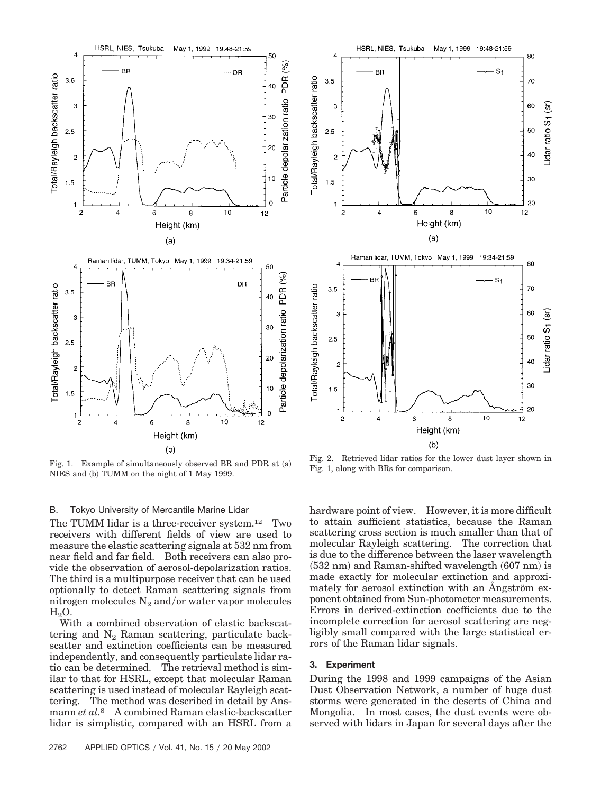

Fig. 1. Example of simultaneously observed BR and PDR at (a) NIES and (b) TUMM on the night of 1 May 1999.

#### B. Tokyo University of Mercantile Marine Lidar

The TUMM lidar is a three-receiver system.12 Two receivers with different fields of view are used to measure the elastic scattering signals at 532 nm from near field and far field. Both receivers can also provide the observation of aerosol-depolarization ratios. The third is a multipurpose receiver that can be used optionally to detect Raman scattering signals from nitrogen molecules  $N_2$  and/or water vapor molecules  $H<sub>2</sub>O$ .

With a combined observation of elastic backscattering and  $N_2$  Raman scattering, particulate backscatter and extinction coefficients can be measured independently, and consequently particulate lidar ratio can be determined. The retrieval method is similar to that for HSRL, except that molecular Raman scattering is used instead of molecular Rayleigh scattering. The method was described in detail by Ansmann *et al.*<sup>8</sup> A combined Raman elastic-backscatter lidar is simplistic, compared with an HSRL from a



Fig. 2. Retrieved lidar ratios for the lower dust layer shown in Fig. 1, along with BRs for comparison.

hardware point of view. However, it is more difficult to attain sufficient statistics, because the Raman scattering cross section is much smaller than that of molecular Rayleigh scattering. The correction that is due to the difference between the laser wavelength  $(532 \text{ nm})$  and Raman-shifted wavelength  $(607 \text{ nm})$  is made exactly for molecular extinction and approximately for aerosol extinction with an Angström exponent obtained from Sun-photometer measurements. Errors in derived-extinction coefficients due to the incomplete correction for aerosol scattering are negligibly small compared with the large statistical errors of the Raman lidar signals.

### **3. Experiment**

During the 1998 and 1999 campaigns of the Asian Dust Observation Network, a number of huge dust storms were generated in the deserts of China and Mongolia. In most cases, the dust events were observed with lidars in Japan for several days after the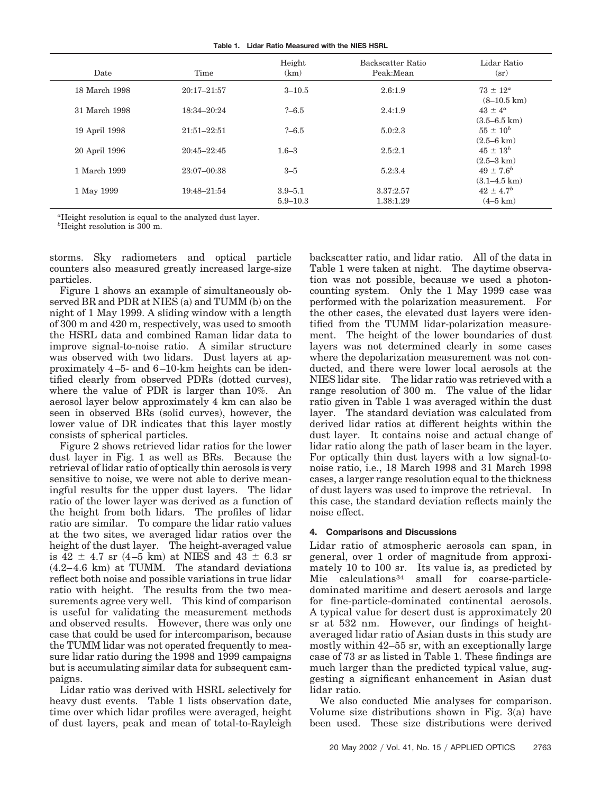| Table 1. Lidar Ratio Measured with the NIES HSRL |  |  |
|--------------------------------------------------|--|--|
|                                                  |  |  |

| Date          | Time            | Height<br>(km)              | Backscatter Ratio<br>Peak:Mean | Lidar Ratio<br>(sr)                        |
|---------------|-----------------|-----------------------------|--------------------------------|--------------------------------------------|
| 18 March 1998 | $20:17 - 21:57$ | $3 - 10.5$                  | 2.6:1.9                        | $73 \pm 12^a$<br>$(8-10.5 \text{ km})$     |
| 31 March 1998 | 18:34-20:24     | $-6.5$                      | 2.4:1.9                        | $43 \pm 4^a$<br>$(3.5 - 6.5 \text{ km})$   |
| 19 April 1998 | $21:51 - 22:51$ | $? - 6.5$                   | 5.0:2.3                        | $55 \pm 10^{b}$<br>$(2.5 - 6 \text{ km})$  |
| 20 April 1996 | $20:45 - 22:45$ | $1.6 - 3$                   | 2.5:2.1                        | $45 \pm 13^b$<br>$(2.5-3 \text{ km})$      |
| 1 March 1999  | 23:07-00:38     | $3 - 5$                     | 5.2:3.4                        | $49 \pm 7.6^b$<br>$(3.1 - 4.5 \text{ km})$ |
| 1 May 1999    | 19:48-21:54     | $3.9 - 5.1$<br>$5.9 - 10.3$ | 3.37:2.57<br>1.38:1.29         | $42 \pm 4.7^{b}$<br>$(4-5 \text{ km})$     |

*a* Height resolution is equal to the analyzed dust layer.

<sup>*b*</sup>Height resolution is 300 m.

storms. Sky radiometers and optical particle counters also measured greatly increased large-size particles.

Figure 1 shows an example of simultaneously observed BR and PDR at NIES (a) and TUMM (b) on the night of 1 May 1999. A sliding window with a length of 300 m and 420 m, respectively, was used to smooth the HSRL data and combined Raman lidar data to improve signal-to-noise ratio. A similar structure was observed with two lidars. Dust layers at approximately 4–5- and 6–10-km heights can be identified clearly from observed PDRs (dotted curves), where the value of PDR is larger than 10%. An aerosol layer below approximately 4 km can also be seen in observed BRs (solid curves), however, the lower value of DR indicates that this layer mostly consists of spherical particles.

Figure 2 shows retrieved lidar ratios for the lower dust layer in Fig. 1 as well as BRs. Because the retrieval of lidar ratio of optically thin aerosols is very sensitive to noise, we were not able to derive meaningful results for the upper dust layers. The lidar ratio of the lower layer was derived as a function of the height from both lidars. The profiles of lidar ratio are similar. To compare the lidar ratio values at the two sites, we averaged lidar ratios over the height of the dust layer. The height-averaged value is 42  $\pm$  4.7 sr (4–5 km) at NIES and 43  $\pm$  6.3 sr  $(4.2-4.6 \text{ km})$  at TUMM. The standard deviations reflect both noise and possible variations in true lidar ratio with height. The results from the two measurements agree very well. This kind of comparison is useful for validating the measurement methods and observed results. However, there was only one case that could be used for intercomparison, because the TUMM lidar was not operated frequently to measure lidar ratio during the 1998 and 1999 campaigns but is accumulating similar data for subsequent campaigns.

Lidar ratio was derived with HSRL selectively for heavy dust events. Table 1 lists observation date, time over which lidar profiles were averaged, height of dust layers, peak and mean of total-to-Rayleigh

backscatter ratio, and lidar ratio. All of the data in Table 1 were taken at night. The daytime observation was not possible, because we used a photoncounting system. Only the 1 May 1999 case was performed with the polarization measurement. For the other cases, the elevated dust layers were identified from the TUMM lidar-polarization measurement. The height of the lower boundaries of dust layers was not determined clearly in some cases where the depolarization measurement was not conducted, and there were lower local aerosols at the NIES lidar site. The lidar ratio was retrieved with a range resolution of 300 m. The value of the lidar ratio given in Table 1 was averaged within the dust layer. The standard deviation was calculated from derived lidar ratios at different heights within the dust layer. It contains noise and actual change of lidar ratio along the path of laser beam in the layer. For optically thin dust layers with a low signal-tonoise ratio, i.e., 18 March 1998 and 31 March 1998 cases, a larger range resolution equal to the thickness of dust layers was used to improve the retrieval. In this case, the standard deviation reflects mainly the noise effect.

#### **4. Comparisons and Discussions**

Lidar ratio of atmospheric aerosols can span, in general, over 1 order of magnitude from approximately 10 to 100 sr. Its value is, as predicted by Mie calculations<sup>34</sup> small for coarse-particledominated maritime and desert aerosols and large for fine-particle-dominated continental aerosols. A typical value for desert dust is approximately 20 sr at 532 nm. However, our findings of heightaveraged lidar ratio of Asian dusts in this study are mostly within 42–55 sr, with an exceptionally large case of 73 sr as listed in Table 1. These findings are much larger than the predicted typical value, suggesting a significant enhancement in Asian dust lidar ratio.

We also conducted Mie analyses for comparison. Volume size distributions shown in Fig. 3(a) have been used. These size distributions were derived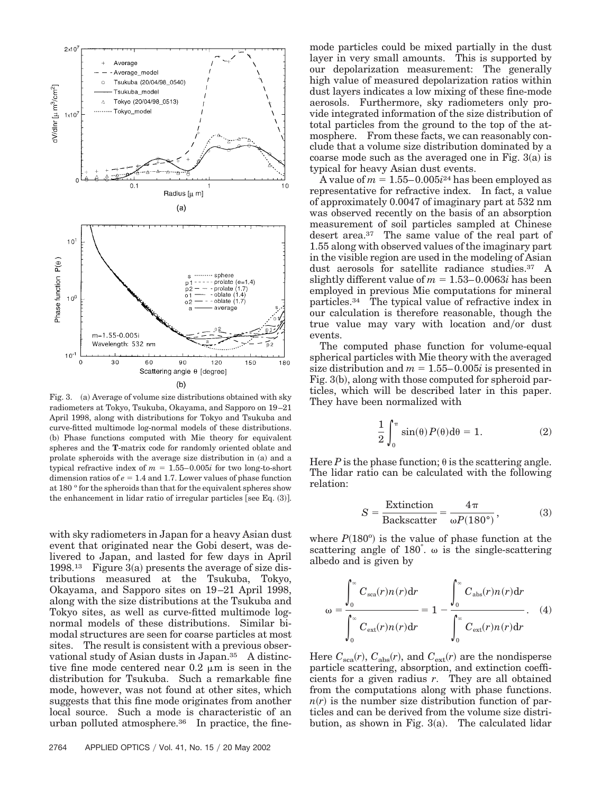

Fig. 3. (a) Average of volume size distributions obtained with sky radiometers at Tokyo, Tsukuba, Okayama, and Sapporo on 19–21 April 1998, along with distributions for Tokyo and Tsukuba and curve-fitted multimode log-normal models of these distributions. (b) Phase functions computed with Mie theory for equivalent spheres and the **T**-matrix code for randomly oriented oblate and prolate spheroids with the average size distribution in (a) and a typical refractive index of  $m = 1.55-0.005i$  for two long-to-short dimension ratios of  $e = 1.4$  and 1.7. Lower values of phase function at 180 ° for the spheroids than that for the equivalent spheres show the enhancement in lidar ratio of irregular particles [see Eq.  $(3)$ ].

with sky radiometers in Japan for a heavy Asian dust event that originated near the Gobi desert, was delivered to Japan, and lasted for few days in April  $1998<sup>13</sup>$  Figure 3(a) presents the average of size distributions measured at the Tsukuba, Tokyo, Okayama, and Sapporo sites on 19–21 April 1998, along with the size distributions at the Tsukuba and Tokyo sites, as well as curve-fitted multimode lognormal models of these distributions. Similar bimodal structures are seen for coarse particles at most sites. The result is consistent with a previous observational study of Asian dusts in Japan.35 A distinctive fine mode centered near  $0.2 \mu m$  is seen in the distribution for Tsukuba. Such a remarkable fine mode, however, was not found at other sites, which suggests that this fine mode originates from another local source. Such a mode is characteristic of an urban polluted atmosphere.36 In practice, the fine-

mode particles could be mixed partially in the dust layer in very small amounts. This is supported by our depolarization measurement: The generally high value of measured depolarization ratios within dust layers indicates a low mixing of these fine-mode aerosols. Furthermore, sky radiometers only provide integrated information of the size distribution of total particles from the ground to the top of the atmosphere. From these facts, we can reasonably conclude that a volume size distribution dominated by a coarse mode such as the averaged one in Fig.  $3(a)$  is typical for heavy Asian dust events.

A value of  $m = 1.55-0.005i^{24}$  has been employed as representative for refractive index. In fact, a value of approximately 0.0047 of imaginary part at 532 nm was observed recently on the basis of an absorption measurement of soil particles sampled at Chinese desert area.37 The same value of the real part of 1.55 along with observed values of the imaginary part in the visible region are used in the modeling of Asian dust aerosols for satellite radiance studies.37 A slightly different value of  $m = 1.53-0.0063i$  has been employed in previous Mie computations for mineral particles.34 The typical value of refractive index in our calculation is therefore reasonable, though the true value may vary with location and/or dust events.

The computed phase function for volume-equal spherical particles with Mie theory with the averaged size distribution and  $m = 1.55-0.005i$  is presented in Fig. 3(b), along with those computed for spheroid particles, which will be described later in this paper. They have been normalized with

$$
\frac{1}{2} \int_0^\pi \sin(\theta) P(\theta) d\theta = 1.
$$
 (2)

Here *P* is the phase function;  $\theta$  is the scattering angle. The lidar ratio can be calculated with the following relation:

$$
S = \frac{\text{Extinction}}{\text{Backscatter}} = \frac{4\pi}{\omega P(180^{\circ})},\tag{3}
$$

where  $P(180^{\circ})$  is the value of phase function at the scattering angle of  $180^{\degree}$ .  $\omega$  is the single-scattering albedo and is given by

$$
\omega = \frac{\int_0^\infty C_{\rm sca}(r) n(r) dr}{\int_0^\infty C_{\rm ext}(r) n(r) dr} = 1 - \frac{\int_0^\infty C_{\rm abs}(r) n(r) dr}{\int_0^\infty C_{\rm ext}(r) n(r) dr}.
$$
 (4)

Here  $C_{\rm sca}(r)$ ,  $C_{\rm abs}(r)$ , and  $C_{\rm ext}(r)$  are the nondisperse particle scattering, absorption, and extinction coefficients for a given radius *r*. They are all obtained from the computations along with phase functions.  $n(r)$  is the number size distribution function of particles and can be derived from the volume size distribution, as shown in Fig. 3(a). The calculated lidar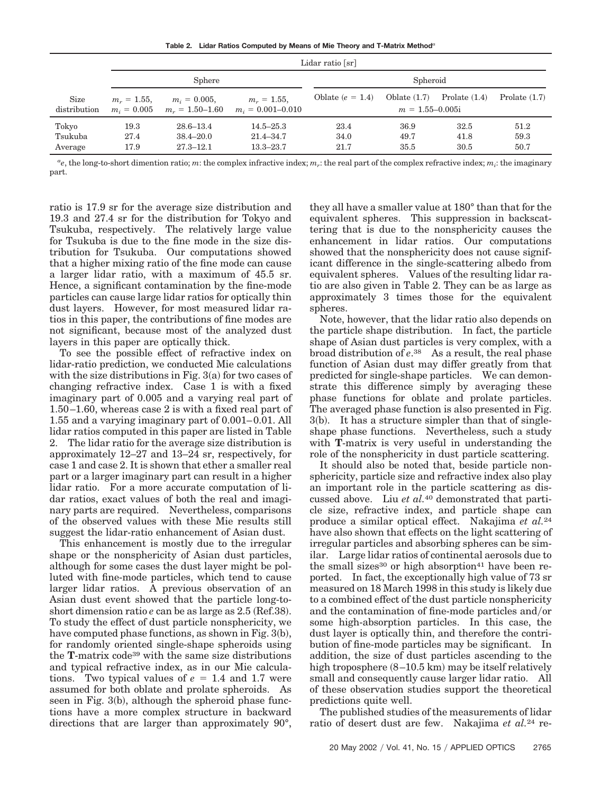**Table 2. Lidar Ratios Computed by Means of Mie Theory and T-Matrix Method***<sup>a</sup>*

|                             | Lidar ratio [sr]     |                                                      |                                                 |                      |                                       |                      |                      |
|-----------------------------|----------------------|------------------------------------------------------|-------------------------------------------------|----------------------|---------------------------------------|----------------------|----------------------|
|                             | Sphere               |                                                      |                                                 | Spheroid             |                                       |                      |                      |
| Size<br>distribution        | $m_r = 1.55$ ,       | $m_i = 0.005$ ,<br>$m_i = 0.005$ $m_r = 1.50 - 1.60$ | $m_r = 1.55$ ,<br>$m_i = 0.001 - 0.010$         | Oblate $(e = 1.4)$   | Oblate $(1.7)$<br>$m = 1.55 - 0.005i$ | Prolate $(1.4)$      | Prolate $(1.7)$      |
| Tokyo<br>Tsukuba<br>Average | 19.3<br>27.4<br>17.9 | $28.6 - 13.4$<br>$38.4 - 20.0$<br>$27.3 - 12.1$      | $14.5 - 25.3$<br>$21.4 - 34.7$<br>$13.3 - 23.7$ | 23.4<br>34.0<br>21.7 | 36.9<br>49.7<br>35.5                  | 32.5<br>41.8<br>30.5 | 51.2<br>59.3<br>50.7 |

 $a_e$ , the long-to-short dimention ratio; *m*: the complex infractive index; *m<sub>r</sub>*: the real part of the complex refractive index; *m<sub>i</sub>*: the imaginary part.

ratio is 17.9 sr for the average size distribution and 19.3 and 27.4 sr for the distribution for Tokyo and Tsukuba, respectively. The relatively large value for Tsukuba is due to the fine mode in the size distribution for Tsukuba. Our computations showed that a higher mixing ratio of the fine mode can cause a larger lidar ratio, with a maximum of 45.5 sr. Hence, a significant contamination by the fine-mode particles can cause large lidar ratios for optically thin dust layers. However, for most measured lidar ratios in this paper, the contributions of fine modes are not significant, because most of the analyzed dust layers in this paper are optically thick.

To see the possible effect of refractive index on lidar-ratio prediction, we conducted Mie calculations with the size distributions in Fig. 3(a) for two cases of changing refractive index. Case 1 is with a fixed imaginary part of 0.005 and a varying real part of 1.50–1.60, whereas case 2 is with a fixed real part of 1.55 and a varying imaginary part of 0.001–0.01. All lidar ratios computed in this paper are listed in Table 2. The lidar ratio for the average size distribution is approximately 12–27 and 13–24 sr, respectively, for case 1 and case 2. It is shown that ether a smaller real part or a larger imaginary part can result in a higher lidar ratio. For a more accurate computation of lidar ratios, exact values of both the real and imaginary parts are required. Nevertheless, comparisons of the observed values with these Mie results still suggest the lidar-ratio enhancement of Asian dust.

This enhancement is mostly due to the irregular shape or the nonsphericity of Asian dust particles, although for some cases the dust layer might be polluted with fine-mode particles, which tend to cause larger lidar ratios. A previous observation of an Asian dust event showed that the particle long-toshort dimension ratio *e* can be as large as 2.5 (Ref.38). To study the effect of dust particle nonsphericity, we have computed phase functions, as shown in Fig. 3(b), for randomly oriented single-shape spheroids using the **T**-matrix code39 with the same size distributions and typical refractive index, as in our Mie calculations. Two typical values of  $e = 1.4$  and 1.7 were assumed for both oblate and prolate spheroids. As seen in Fig. 3(b), although the spheroid phase functions have a more complex structure in backward directions that are larger than approximately 90°, they all have a smaller value at 180° than that for the equivalent spheres. This suppression in backscattering that is due to the nonsphericity causes the enhancement in lidar ratios. Our computations showed that the nonsphericity does not cause significant difference in the single-scattering albedo from equivalent spheres. Values of the resulting lidar ratio are also given in Table 2. They can be as large as approximately 3 times those for the equivalent spheres.

Note, however, that the lidar ratio also depends on the particle shape distribution. In fact, the particle shape of Asian dust particles is very complex, with a broad distribution of *e*.38 As a result, the real phase function of Asian dust may differ greatly from that predicted for single-shape particles. We can demonstrate this difference simply by averaging these phase functions for oblate and prolate particles. The averaged phase function is also presented in Fig. 3(b). It has a structure simpler than that of singleshape phase functions. Nevertheless, such a study with **T**-matrix is very useful in understanding the role of the nonsphericity in dust particle scattering.

It should also be noted that, beside particle nonsphericity, particle size and refractive index also play an important role in the particle scattering as discussed above. Liu *et al.*<sup>40</sup> demonstrated that particle size, refractive index, and particle shape can produce a similar optical effect. Nakajima *et al.*<sup>24</sup> have also shown that effects on the light scattering of irregular particles and absorbing spheres can be similar. Large lidar ratios of continental aerosols due to the small sizes<sup>30</sup> or high absorption<sup>41</sup> have been reported. In fact, the exceptionally high value of 73 sr measured on 18 March 1998 in this study is likely due to a combined effect of the dust particle nonsphericity and the contamination of fine-mode particles and/or some high-absorption particles. In this case, the dust layer is optically thin, and therefore the contribution of fine-mode particles may be significant. In addition, the size of dust particles ascending to the high troposphere (8–10.5 km) may be itself relatively small and consequently cause larger lidar ratio. All of these observation studies support the theoretical predictions quite well.

The published studies of the measurements of lidar ratio of desert dust are few. Nakajima *et al.*<sup>24</sup> re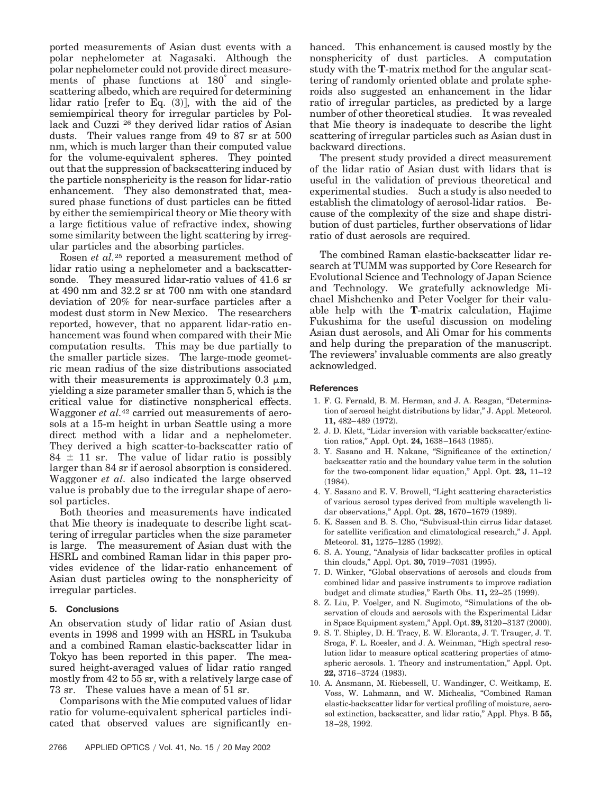ported measurements of Asian dust events with a polar nephelometer at Nagasaki. Although the polar nephelometer could not provide direct measurements of phase functions at 180° and singlescattering albedo, which are required for determining  $\text{lidar ratio [refer to Eq. (3)], with the aid of the }$ semiempirical theory for irregular particles by Pollack and Cuzzi <sup>26</sup> they derived lidar ratios of Asian dusts. Their values range from 49 to 87 sr at 500 nm, which is much larger than their computed value for the volume-equivalent spheres. They pointed out that the suppression of backscattering induced by the particle nonsphericity is the reason for lidar-ratio enhancement. They also demonstrated that, measured phase functions of dust particles can be fitted by either the semiempirical theory or Mie theory with a large fictitious value of refractive index, showing some similarity between the light scattering by irregular particles and the absorbing particles.

Rosen *et al.*<sup>25</sup> reported a measurement method of lidar ratio using a nephelometer and a backscattersonde. They measured lidar-ratio values of 41.6 sr at 490 nm and 32.2 sr at 700 nm with one standard deviation of 20% for near-surface particles after a modest dust storm in New Mexico. The researchers reported, however, that no apparent lidar-ratio enhancement was found when compared with their Mie computation results. This may be due partially to the smaller particle sizes. The large-mode geometric mean radius of the size distributions associated with their measurements is approximately  $0.3 \mu m$ , yielding a size parameter smaller than 5, which is the critical value for distinctive nonspherical effects. Waggoner *et al.*<sup>42</sup> carried out measurements of aerosols at a 15-m height in urban Seattle using a more direct method with a lidar and a nephelometer. They derived a high scatter-to-backscatter ratio of  $84 \pm 11$  sr. The value of lidar ratio is possibly larger than 84 sr if aerosol absorption is considered. Waggoner *et al.* also indicated the large observed value is probably due to the irregular shape of aerosol particles.

Both theories and measurements have indicated that Mie theory is inadequate to describe light scattering of irregular particles when the size parameter is large. The measurement of Asian dust with the HSRL and combined Raman lidar in this paper provides evidence of the lidar-ratio enhancement of Asian dust particles owing to the nonsphericity of irregular particles.

## **5. Conclusions**

An observation study of lidar ratio of Asian dust events in 1998 and 1999 with an HSRL in Tsukuba and a combined Raman elastic-backscatter lidar in Tokyo has been reported in this paper. The measured height-averaged values of lidar ratio ranged mostly from 42 to 55 sr, with a relatively large case of 73 sr. These values have a mean of 51 sr.

Comparisons with the Mie computed values of lidar ratio for volume-equivalent spherical particles indicated that observed values are significantly enhanced. This enhancement is caused mostly by the nonsphericity of dust particles. A computation study with the **T**-matrix method for the angular scattering of randomly oriented oblate and prolate spheroids also suggested an enhancement in the lidar ratio of irregular particles, as predicted by a large number of other theoretical studies. It was revealed that Mie theory is inadequate to describe the light scattering of irregular particles such as Asian dust in backward directions.

The present study provided a direct measurement of the lidar ratio of Asian dust with lidars that is useful in the validation of previous theoretical and experimental studies. Such a study is also needed to establish the climatology of aerosol-lidar ratios. Because of the complexity of the size and shape distribution of dust particles, further observations of lidar ratio of dust aerosols are required.

The combined Raman elastic-backscatter lidar research at TUMM was supported by Core Research for Evolutional Science and Technology of Japan Science and Technology. We gratefully acknowledge Michael Mishchenko and Peter Voelger for their valuable help with the **T**-matrix calculation, Hajime Fukushima for the useful discussion on modeling Asian dust aerosols, and Ali Omar for his comments and help during the preparation of the manuscript. The reviewers' invaluable comments are also greatly acknowledged.

#### **References**

- 1. F. G. Fernald, B. M. Herman, and J. A. Reagan, "Determination of aerosol height distributions by lidar," J. Appl. Meteorol. 11, 482–489 (1972).
- 2. J. D. Klett, "Lidar inversion with variable backscatter/extinction ratios," Appl. Opt. **24,** 1638–1643 (1985).
- 3. Y. Sasano and H. Nakane, "Significance of the extinction backscatter ratio and the boundary value term in the solution for the two-component lidar equation," Appl. Opt. **23,** 11–12  $(1984).$
- 4. Y. Sasano and E. V. Browell, "Light scattering characteristics of various aerosol types derived from multiple wavelength lidar observations," Appl. Opt. **28,** 1670–1679 (1989).
- 5. K. Sassen and B. S. Cho, "Subvisual-thin cirrus lidar dataset for satellite verification and climatological research," J. Appl. Meteorol. **31,** 1275–1285 (1992).
- 6. S. A. Young, "Analysis of lidar backscatter profiles in optical thin clouds," Appl. Opt. **30,** 7019–7031 (1995).
- 7. D. Winker, "Global observations of aerosols and clouds from combined lidar and passive instruments to improve radiation budget and climate studies," Earth Obs. 11, 22–25 (1999).
- 8. Z. Liu, P. Voelger, and N. Sugimoto, "Simulations of the observation of clouds and aerosols with the Experimental Lidar in Space Equipment system," Appl. Opt. **39,** 3120–3137 (2000).
- 9. S. T. Shipley, D. H. Tracy, E. W. Eloranta, J. T. Trauger, J. T. Sroga, F. L. Roesler, and J. A. Weinman, "High spectral resolution lidar to measure optical scattering properties of atmospheric aerosols. 1. Theory and instrumentation," Appl. Opt. **22,** 3716–3724 (1983).
- 10. A. Ansmann, M. Riebessell, U. Wandinger, C. Weitkamp, E. Voss, W. Lahmann, and W. Michealis, "Combined Raman elastic-backscatter lidar for vertical profiling of moisture, aerosol extinction, backscatter, and lidar ratio," Appl. Phys. B **55,** 18–28, 1992.